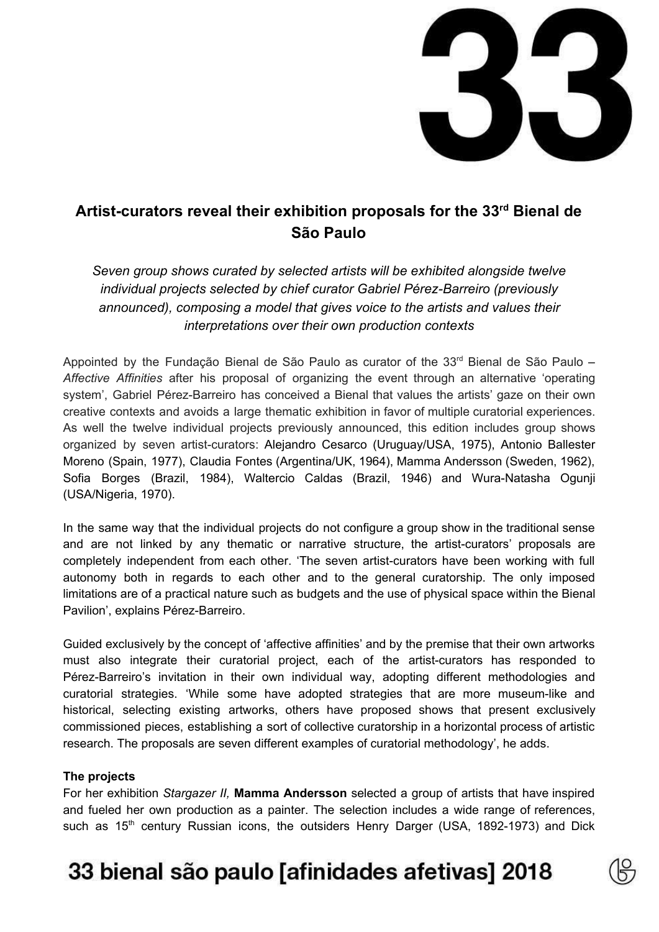

### **Artist-curators reveal their exhibition proposals for the 33 rd Bienal de São Paulo**

*Seven group shows curated by selected artists will be exhibited alongside twelve individual projects selected by chief curator Gabriel Pérez-Barreiro (previously announced), composing a model that gives voice to the artists and values their interpretations over their own production contexts*

Appointed by the Fundação Bienal de São Paulo as curator of the 33<sup>rd</sup> Bienal de São Paulo – *Affective Affinities* after his proposal of organizing the event through an alternative 'operating system', Gabriel Pérez-Barreiro has conceived a Bienal that values the artists' gaze on their own creative contexts and avoids a large thematic exhibition in favor of multiple curatorial experiences. As well the twelve individual projects previously announced, this edition includes group shows organized by seven artist-curators: Alejandro Cesarco (Uruguay/USA, 1975), Antonio Ballester Moreno (Spain, 1977), Claudia Fontes (Argentina/UK, 1964), Mamma Andersson (Sweden, 1962), Sofia Borges (Brazil, 1984), Waltercio Caldas (Brazil, 1946) and Wura-Natasha Ogunji (USA/Nigeria, 1970).

In the same way that the individual projects do not configure a group show in the traditional sense and are not linked by any thematic or narrative structure, the artist-curators' proposals are completely independent from each other. 'The seven artist-curators have been working with full autonomy both in regards to each other and to the general curatorship. The only imposed limitations are of a practical nature such as budgets and the use of physical space within the Bienal Pavilion', explains Pérez-Barreiro.

Guided exclusively by the concept of 'affective affinities' and by the premise that their own artworks must also integrate their curatorial project, each of the artist-curators has responded to Pérez-Barreiro's invitation in their own individual way, adopting different methodologies and curatorial strategies. 'While some have adopted strategies that are more museum-like and historical, selecting existing artworks, others have proposed shows that present exclusively commissioned pieces, establishing a sort of collective curatorship in a horizontal process of artistic research. The proposals are seven different examples of curatorial methodology', he adds.

#### **The projects**

For her exhibition *Stargazer II,* **Mamma Andersson** selected a group of artists that have inspired and fueled her own production as a painter. The selection includes a wide range of references, such as 15<sup>th</sup> century Russian icons, the outsiders Henry Darger (USA, 1892-1973) and Dick

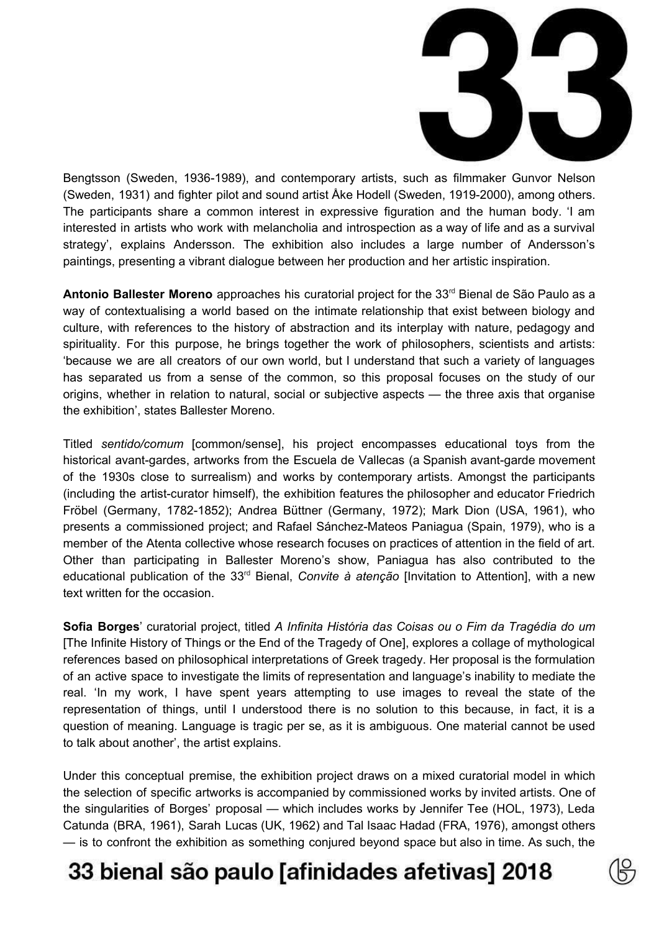

Bengtsson (Sweden, 1936-1989), and contemporary artists, such as filmmaker Gunvor Nelson (Sweden, 1931) and fighter pilot and sound artist Åke Hodell (Sweden, 1919-2000), among others. The participants share a common interest in expressive figuration and the human body. 'I am interested in artists who work with melancholia and introspection as a way of life and as a survival strategy', explains Andersson. The exhibition also includes a large number of Andersson's paintings, presenting a vibrant dialogue between her production and her artistic inspiration.

Antonio Ballester Moreno approaches his curatorial project for the 33<sup>rd</sup> Bienal de São Paulo as a way of contextualising a world based on the intimate relationship that exist between biology and culture, with references to the history of abstraction and its interplay with nature, pedagogy and spirituality. For this purpose, he brings together the work of philosophers, scientists and artists: 'because we are all creators of our own world, but I understand that such a variety of languages has separated us from a sense of the common, so this proposal focuses on the study of our origins, whether in relation to natural, social or subjective aspects — the three axis that organise the exhibition', states Ballester Moreno.

Titled *sentido/comum* [common/sense], his project encompasses educational toys from the historical avant-gardes, artworks from the Escuela de Vallecas (a Spanish avant-garde movement of the 1930s close to surrealism) and works by contemporary artists. Amongst the participants (including the artist-curator himself), the exhibition features the philosopher and educator Friedrich Fröbel (Germany, 1782-1852); Andrea Büttner (Germany, 1972); Mark Dion (USA, 1961), who presents a commissioned project; and Rafael Sánchez-Mateos Paniagua (Spain, 1979), who is a member of the Atenta collective whose research focuses on practices of attention in the field of art. Other than participating in Ballester Moreno's show, Paniagua has also contributed to the educational publication of the 33<sup>rd</sup> Bienal, *Convite* à atenção [Invitation to Attention], with a new text written for the occasion.

**Sofia Borges**' curatorial project, titled *A Infinita História das Coisas ou o Fim da Tragédia do um* [The Infinite History of Things or the End of the Tragedy of One], explores a collage of mythological references based on philosophical interpretations of Greek tragedy. Her proposal is the formulation of an active space to investigate the limits of representation and language's inability to mediate the real. 'In my work, I have spent years attempting to use images to reveal the state of the representation of things, until I understood there is no solution to this because, in fact, it is a question of meaning. Language is tragic per se, as it is ambiguous. One material cannot be used to talk about another', the artist explains.

Under this conceptual premise, the exhibition project draws on a mixed curatorial model in which the selection of specific artworks is accompanied by commissioned works by invited artists. One of the singularities of Borges' proposal — which includes works by Jennifer Tee (HOL, 1973), Leda Catunda (BRA, 1961), Sarah Lucas (UK, 1962) and Tal Isaac Hadad (FRA, 1976), amongst others — is to confront the exhibition as something conjured beyond space but also in time. As such, the

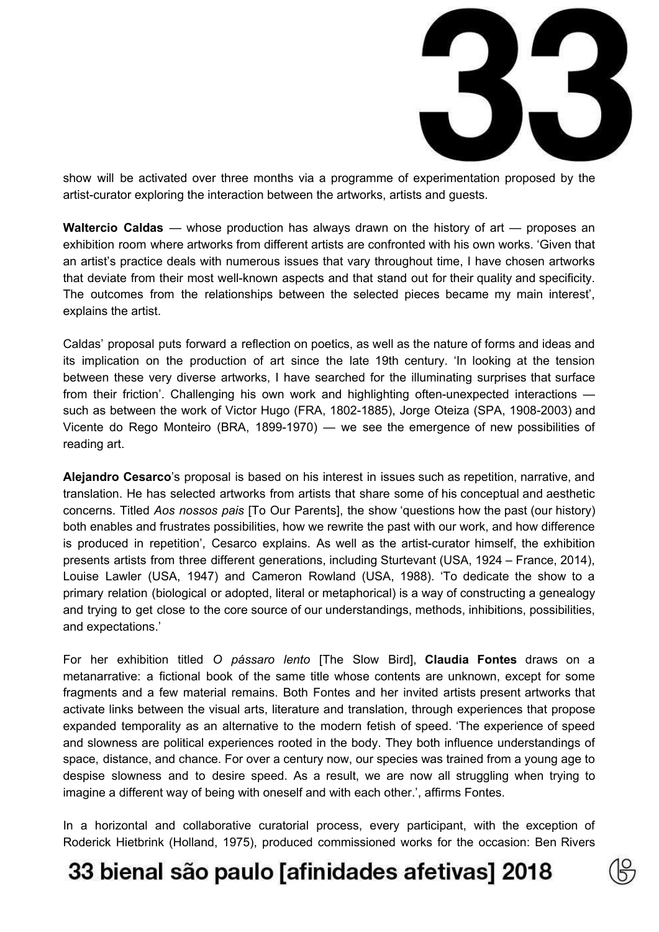

show will be activated over three months via a programme of experimentation proposed by the artist-curator exploring the interaction between the artworks, artists and guests.

**Waltercio Caldas** — whose production has always drawn on the history of art — proposes an exhibition room where artworks from different artists are confronted with his own works. 'Given that an artist's practice deals with numerous issues that vary throughout time, I have chosen artworks that deviate from their most well-known aspects and that stand out for their quality and specificity. The outcomes from the relationships between the selected pieces became my main interest', explains the artist.

Caldas' proposal puts forward a reflection on poetics, as well as the nature of forms and ideas and its implication on the production of art since the late 19th century. 'In looking at the tension between these very diverse artworks, I have searched for the illuminating surprises that surface from their friction'. Challenging his own work and highlighting often-unexpected interactions such as between the work of Victor Hugo (FRA, 1802-1885), Jorge Oteiza (SPA, 1908-2003) and Vicente do Rego Monteiro (BRA, 1899-1970) — we see the emergence of new possibilities of reading art.

**Alejandro Cesarco**'s proposal is based on his interest in issues such as repetition, narrative, and translation. He has selected artworks from artists that share some of his conceptual and aesthetic concerns. Titled *Aos nossos pais* [To Our Parents], the show 'questions how the past (our history) both enables and frustrates possibilities, how we rewrite the past with our work, and how difference is produced in repetition', Cesarco explains. As well as the artist-curator himself, the exhibition presents artists from three different generations, including Sturtevant (USA, 1924 – France, 2014), Louise Lawler (USA, 1947) and Cameron Rowland (USA, 1988). 'To dedicate the show to a primary relation (biological or adopted, literal or metaphorical) is a way of constructing a genealogy and trying to get close to the core source of our understandings, methods, inhibitions, possibilities, and expectations.'

For her exhibition titled *O pássaro lento* [The Slow Bird], **Claudia Fontes** draws on a metanarrative: a fictional book of the same title whose contents are unknown, except for some fragments and a few material remains. Both Fontes and her invited artists present artworks that activate links between the visual arts, literature and translation, through experiences that propose expanded temporality as an alternative to the modern fetish of speed. 'The experience of speed and slowness are political experiences rooted in the body. They both influence understandings of space, distance, and chance. For over a century now, our species was trained from a young age to despise slowness and to desire speed. As a result, we are now all struggling when trying to imagine a different way of being with oneself and with each other.', affirms Fontes.

In a horizontal and collaborative curatorial process, every participant, with the exception of Roderick Hietbrink (Holland, 1975), produced commissioned works for the occasion: Ben Rivers

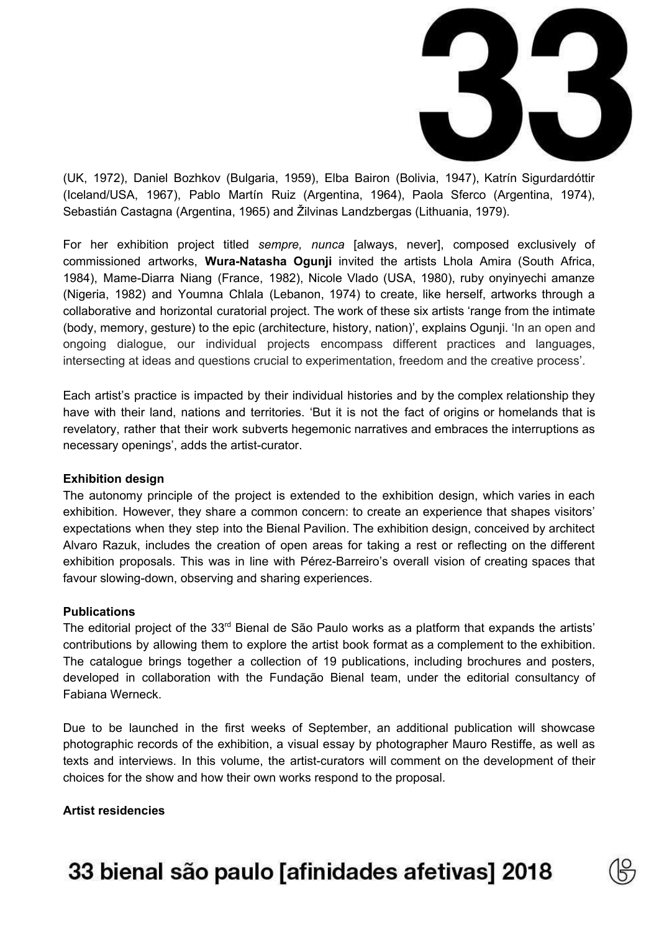

(UK, 1972), Daniel Bozhkov (Bulgaria, 1959), Elba Bairon (Bolivia, 1947), Katrín Sigurdardóttir (Iceland/USA, 1967), Pablo Martín Ruiz (Argentina, 1964), Paola Sferco (Argentina, 1974), Sebastián Castagna (Argentina, 1965) and Žilvinas Landzbergas (Lithuania, 1979).

For her exhibition project titled *sempre, nunca* [always, never], composed exclusively of commissioned artworks, **Wura-Natasha Ogunji** invited the artists Lhola Amira (South Africa, 1984), Mame-Diarra Niang (France, 1982), Nicole Vlado (USA, 1980), ruby onyinyechi amanze (Nigeria, 1982) and Youmna Chlala (Lebanon, 1974) to create, like herself, artworks through a collaborative and horizontal curatorial project. The work of these six artists 'range from the intimate (body, memory, gesture) to the epic (architecture, history, nation)', explains Ogunji. 'In an open and ongoing dialogue, our individual projects encompass different practices and languages, intersecting at ideas and questions crucial to experimentation, freedom and the creative process'.

Each artist's practice is impacted by their individual histories and by the complex relationship they have with their land, nations and territories. 'But it is not the fact of origins or homelands that is revelatory, rather that their work subverts hegemonic narratives and embraces the interruptions as necessary openings', adds the artist-curator.

#### **Exhibition design**

The autonomy principle of the project is extended to the exhibition design, which varies in each exhibition. However, they share a common concern: to create an experience that shapes visitors' expectations when they step into the Bienal Pavilion. The exhibition design, conceived by architect Alvaro Razuk, includes the creation of open areas for taking a rest or reflecting on the different exhibition proposals. This was in line with Pérez-Barreiro's overall vision of creating spaces that favour slowing-down, observing and sharing experiences.

#### **Publications**

The editorial project of the 33<sup>rd</sup> Bienal de São Paulo works as a platform that expands the artists' contributions by allowing them to explore the artist book format as a complement to the exhibition. The catalogue brings together a collection of 19 publications, including brochures and posters, developed in collaboration with the Fundação Bienal team, under the editorial consultancy of Fabiana Werneck.

Due to be launched in the first weeks of September, an additional publication will showcase photographic records of the exhibition, a visual essay by photographer Mauro Restiffe, as well as texts and interviews. In this volume, the artist-curators will comment on the development of their choices for the show and how their own works respond to the proposal.

**Artist residencies**

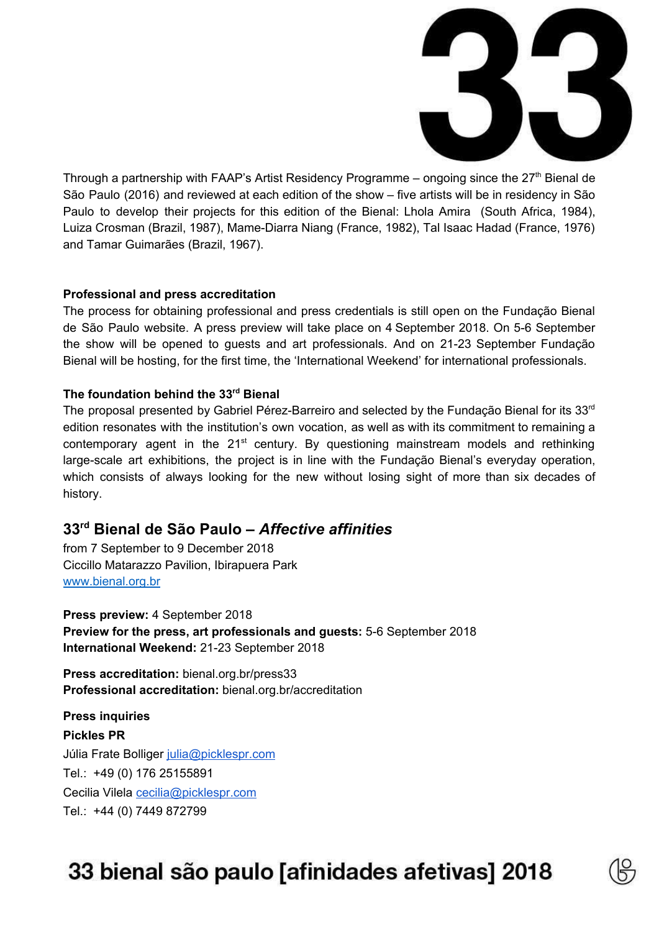

Through a partnership with FAAP's Artist Residency Programme  $-$  ongoing since the 27<sup>th</sup> Bienal de São Paulo (2016) and reviewed at each edition of the show – five artists will be in residency in São Paulo to develop their projects for this edition of the Bienal: Lhola Amira (South Africa, 1984), Luiza Crosman (Brazil, 1987), Mame-Diarra Niang (France, 1982), Tal Isaac Hadad (France, 1976) and Tamar Guimarães (Brazil, 1967).

#### **Professional and press accreditation**

The process for obtaining professional and press credentials is still open on the Fundação Bienal de São Paulo website. A press preview will take place on 4 September 2018. On 5-6 September the show will be opened to guests and art professionals. And on 21-23 September Fundação Bienal will be hosting, for the first time, the 'International Weekend' for international professionals.

### **The foundation behind the 33 rd Bienal**

The proposal presented by Gabriel Pérez-Barreiro and selected by the Fundação Bienal for its 33<sup>rd</sup> edition resonates with the institution's own vocation, as well as with its commitment to remaining a contemporary agent in the  $21<sup>st</sup>$  century. By questioning mainstream models and rethinking large-scale art exhibitions, the project is in line with the Fundação Bienal's everyday operation, which consists of always looking for the new without losing sight of more than six decades of history.

### **33 rd Bienal de São Paulo –** *Affective affinities*

from 7 September to 9 December 2018 Ciccillo Matarazzo Pavilion, Ibirapuera Park [www.bienal.org.br](http://www.bienal.org.br/)

**Press preview:** 4 September 2018 **Preview for the press, art professionals and guests:** 5-6 September 2018 **International Weekend:** 21-23 September 2018

**Press accreditation:** bienal.org.br/press33 **Professional accreditation:** bienal.org.br/accreditation

**Press inquiries Pickles PR** Júlia Frate Bolliger [julia@picklespr.com](mailto:julia@picklespr.com) Tel.: +49 (0) 176 25155891 Cecilia Vilela [cecilia@picklespr.com](mailto:cecilia@picklespr.com) Tel.: +44 (0) 7449 872799